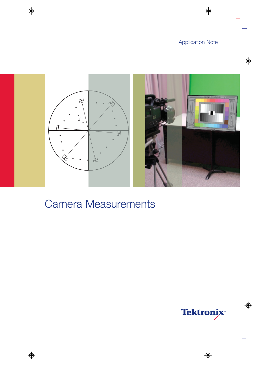

# Camera Measurements

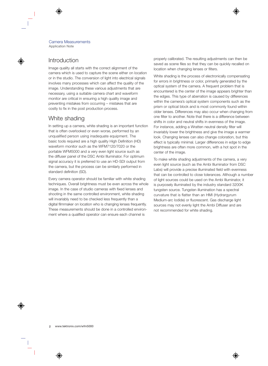### Introduction

Image quality all starts with the correct alignment of the camera which is used to capture the scene either on location or in the studio. The conversion of light into electrical signals involves many processes which can affect the quality of the image. Understanding these various adjustments that are necessary, using a suitable camera chart and waveform monitor are critical in ensuring a high quality image and preventing mistakes from occurring – mistakes that are costly to fix in the post production process.

## White shading

In setting up a camera, white shading is an important function that is often overlooked or even worse, performed by an unqualified person using inadequate equipment. The basic tools required are a high quality High Definition (HD) waveform monitor such as the WFM7120/7020 or the portable WFM5000 and a very even light source such as the diffuser panel of the DSC Ambi Illuminator. For optimum signal accuracy it is preferred to use an HD-SDI output from the camera, but the process can be similarly performed in standard definition (SD).

Every camera operator should be familiar with white shading techniques. Overall brightness must be even across the whole image. In the case of studio cameras with fixed lenses and shooting in the same controlled environment, white shading will invariably need to be checked less frequently than a digital filmmaker on location who is changing lenses frequently. These measurements should be done in a controlled environment where a qualified operator can ensure each channel is

properly calibrated. The resulting adjustments can then be saved as scene files so that they can be quickly recalled on location when changing lenses or filters.

White shading is the process of electronically compensating for errors in brightness or color, primarily generated by the optical system of the camera. A frequent problem that is encountered is the center of the image appears brighter than the edges. This type of aberration is caused by differences within the camera's optical system components such as the prism or optical block and is most commonly found within older lenses. Differences may also occur when changing from one filter to another. Note that there is a difference between shifts in color and neutral shifts in evenness of the image. For instance, adding a Wratten neutral density filter will invariably lower the brightness and give the image a warmer look. Changing lenses can also change coloration, but this effect is typically minimal. Larger differences in edge to edge brightness are often more common, with a hot spot in the center of the image.

To make white shading adjustments of the camera, a very even light source (such as the Ambi Illuminator from DSC Labs) will provide a precise illuminated field with evenness that can be controlled to close tolerances. Although a number of light sources could be used on the Ambi Illuminator, it is purposely illuminated by the industry standard 3200K tungsten source. Tungsten illumination has a spectral curvature that is flatter than an HMI (Hydrargyrum Medium-arc Iodide) or fluorescent. Gas discharge light sources may not evenly light the Ambi Diffuser and are not recommended for white shading.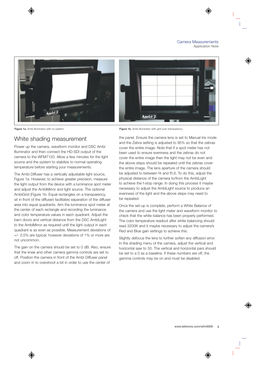

#### White shading measurement

Power up the camera, waveform monitor and DSC Ambi Illuminator and then connect the HD-SDI output of the camera to the WFM7120. Allow a few minutes for the light source and the system to stabilize to normal operating temperature before starting your measurements.

The Ambi Diffuser has a vertically adjustable light source, Figure 1a. However, to achieve greater precision, measure the light output from the device with a luminance spot meter and adjust the AmbiMirror and light source. The optional AmbiGrid (Figure 1b. Equal rectangles on a transparency, sit in front of the diffuser) facilitates separation of the diffuser area into equal quadrants. Aim the luminance spot meter at the center of each rectangle and recording the luminance and color temperature values in each quadrant. Adjust the barn doors and vertical distance from the DSC AmbiLight to the AmbiMirror as required until the light output in each quadrant is as even as possible. Measurement deviations of +/- 0.5% are typical; however deviations of 1% or more are not uncommon.

The gain on the camera should be set to 0 dB. Also, ensure that the knee and other camera gamma controls are set to off. Position the camera in front of the Ambi Diffuser panel and zoom in to overshoot a bit in order to use the center of

Figure 1a. Ambi Illuminator with no pattern. **Figure 1b.** Ambi Illuminator with grid over transparency.

the panel. Ensure the camera lens is set to Manual Iris mode and the Zebra setting is adjusted to 95% so that the zebras cover the entire image. Note that if a spot meter has not been used to ensure evenness and the zebras do not cover the entire image then the light may not be even and the above steps should be repeated until the zebras cover the entire image. The lens aperture of the camera should be adjusted to between f4 and f5.6. To do this, adjust the physical distance of the camera to/from the AmbiLight to achieve the f-stop range. In doing this process it maybe necessary to adjust the AmbiLight source to produce an evenness of the light and the above steps may need to be repeated.

Once the set-up is complete, perform a White Balance of the camera and use the light meter and waveform monitor to check that the white balance has been properly performed. The color temperature readout after white balancing should read 3200K and it maybe necessary to adjust the camera's Red and Blue gain settings to achieve this.

Slightly defocus the lens to further soften any diffusion error. In the shading menu of the camera, adjust the vertical and horizontal saw to 50. The vertical and horizontal pars should be set to a 0 as a baseline. If these numbers are off, the gamma controls may be on and must be disabled.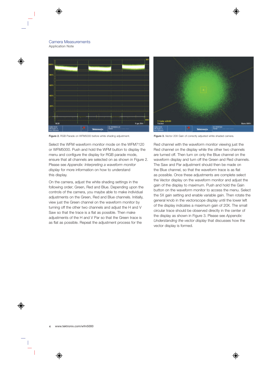

**Figure 2.** RGB Parade on WFM5000 before white shading adjustment. **Figure 3.** Vector 20X Gain of correctly adjusted white shaded camera.

Select the WFM waveform monitor mode on the WFM7120 or WFM5000. Push and hold the WFM button to display the menu and configure the display for RGB parade mode, ensure that all channels are selected on as shown in Figure 2. Please see *Appendix: Interpreting a waveform monitor display* for more information on how to understand this display.

On the camera, adjust the white shading settings in the following order; Green, Red and Blue. Depending upon the controls of the camera, you maybe able to make individual adjustments on the Green, Red and Blue channels. Initially, view just the Green channel on the waveform monitor by turning off the other two channels and adjust the H and V Saw so that the trace is a flat as possible. Then make adjustments of the H and V Par so that the Green trace is as flat as possible. Repeat the adjustment process for the



Red channel with the waveform monitor viewing just the Red channel on the display while the other two channels are turned off. Then turn on only the Blue channel on the waveform display and turn off the Green and Red channels. The Saw and Par adjustment should then be made on the Blue channel, so that the waveform trace is as flat as possible. Once these adjustments are complete select the Vector display on the waveform monitor and adjust the gain of the display to maximum. Push and hold the Gain button on the waveform monitor to access the menu. Select the 5X gain setting and enable variable gain. Then rotate the general knob in the vectorscope display until the lower left of the display indicates a maximum gain of 20X. The small circular trace should be observed directly in the center of the display as shown in Figure 3. Please see *Appendix: Understanding the vector display* that discusses how the vector display is formed.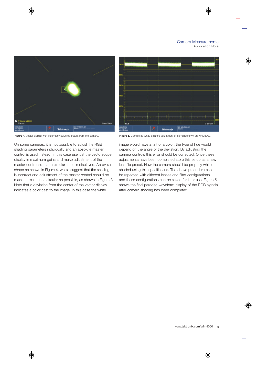

**Figure 4.** Vector display with incorrectly adjusted output from the camera. **Figure 5.** Completed white balance adjustment of camera shown on WFM5000.

On some cameras, it is not possible to adjust the RGB shading parameters individually and an absolute master control is used instead. In this case use just the vectorscope display in maximum gains and make adjustment of the master control so that a circular trace is displayed. An ovular shape as shown in Figure 4, would suggest that the shading is incorrect and adjustment of the master control should be made to make it as circular as possible, as shown in Figure 3. Note that a deviation from the center of the vector display indicates a color cast to the image. In this case the white



image would have a tint of a color; the type of hue would depend on the angle of the deviation. By adjusting the camera controls this error should be corrected. Once these adjustments have been completed store this setup as a new lens file preset. Now the camera should be properly white shaded using this specific lens. The above procedure can be repeated with different lenses and filter configurations and these configurations can be saved for later use. Figure 5 shows the final paraded waveform display of the RGB signals after camera shading has been completed.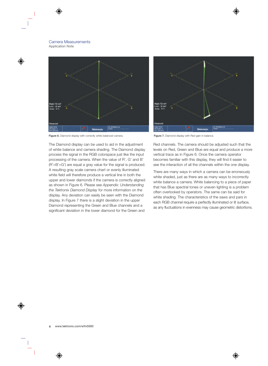

**Figure 6.** Diamond display with correctly white balanced camera. **Figure 7.** Diamond display with Red gain in balance.

The Diamond display can be used to aid in the adjustment of white balance and camera shading. The Diamond display process the signal in the RGB colorspace just like the input processing of the camera. When the value of R', G' and B' (R'=B'=G') are equal a gray value for the signal is produced. A resulting gray scale camera chart or evenly illuminated white field will therefore produce a vertical line in both the upper and lower diamonds if the camera is correctly aligned as shown in Figure 6. Please see *Appendix: Understanding the Tektronix Diamond Display* for more information on the display. Any deviation can easily be seen with the Diamond display. In Figure 7 there is a slight deviation in the upper Diamond representing the Green and Blue channels and a significant deviation in the lower diamond for the Green and



Red channels. The camera should be adjusted such that the levels on Red, Green and Blue are equal and produce a more vertical trace as in Figure 6. Once the camera operator becomes familiar with this display, they will find it easier to see the interaction of all the channels within the one display.

There are many ways in which a camera can be erroneously white shaded, just as there are as many ways to incorrectly white balance a camera. White balancing to a piece of paper that has Blue spectral tones or uneven lighting is a problem often overlooked by operators. The same can be said for white shading. The characteristics of the saws and pars in each RGB channel require a perfectly illuminated or lit surface, as any fluctuations in evenness may cause geometric distortions.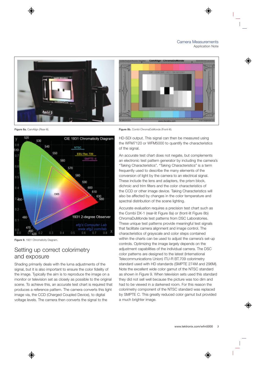



**Figure 9.** 1931 Chromaticity Diagram.

#### Setting up correct colorimetry and exposure

Shading primarily deals with the luma adjustments of the signal, but it is also important to ensure the color fidelity of the image. Typically the aim is to reproduce the image on a monitor or television set as closely as possible to the original scene. To achieve this, an accurate test chart is required that produces a reference pattern. The camera converts this light image via, the CCD (Charged Coupled Device), to digital voltage levels. The camera then converts the signal to the

**Figure 8a.** CamAlign (Rear-lit). **Figure 8b.** Combi ChromaDuMonde (Front-lit).

HD-SDI output. This signal can then be measured using the WFM7120 or WFM5000 to quantify the characteristics of the signal.

An accurate test chart does not negate, but complements an electronic test pattern generator by including the camera's "Taking Characteristics". "Taking Characteristics" is a term frequently used to describe the many elements of the conversion of light by the camera to an electrical signal. These include the lens and adapters, the prism block, dichroic and trim filters and the color characteristics of the CCD or other image device. Taking Characteristics will also be affected by changes in the color temperature and spectral distribution of the scene lighting.

Accurate evaluation requires a precision test chart such as the Combi DX-1 (rear-lit Figure 8a) or (front-lit Figure 8b) ChromaDuMonde test patterns from DSC Laboratories. These unique test patterns provide meaningful test signals that facilitate camera alignment and image control. The characteristics of grayscale and color steps contained within the charts can be used to adjust the camera's set-up controls. Optimizing the image largely depends on the adjustment capabilities of the individual camera. The DSC color patterns are designed to the latest (International Telecommunications Union) ITU-R BT.709 colorimetry standard used with HD standards (SMPTE 274M and 296M). Note the excellent wide color gamut of the NTSC standard as shown in Figure 9. When television sets used this standard they did not sell well because the picture was too dim and had to be viewed in a darkened room. For this reason the colorimetry component of the NTSC standard was replaced by SMPTE C. This greatly reduced color gamut but provided a much brighter image.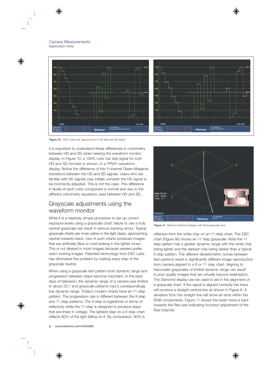

Figure 10. 100% Color bar signal shown in HD (left) and SD (right).

It is important to understand these differences in colorimetry between HD and SD when viewing the waveform monitor display. In Figure 10, a 100% color bar test signal for both HD and SD formats is shown, in a YPbPr waveform display. Notice the difference of the Y-channel Green-Magenta transitions between the HD and SD signals. Users who are familiar with SD signals may initially consider the HD signal to be incorrectly adjusted. This is not the case. This difference in levels of each color component is normal and due to the different colorimetry equations used between HD and SD.

#### Grayscale adjustments using the waveform monitor

While it is a relatively simple procedure to set-up correct exposure levels using a grayscale chart, failure to use a truly neutral grayscale can result in serious tracking errors. Typical grayscale charts are more yellow in the light steps, approaching neutral towards black. Use of such charts produces images that are artificially Blue or cold looking in the lighter tones. This is not desired in most images because viewers prefer warm looking images. Patented technology from DSC Labs has eliminated this problem by making every step of the grayscale neutral.

When using a grayscale test pattern both dynamic range and progression between steps become important. In the early days of television, the dynamic range of a camera was limited to about 25:1 and grayscale patterns had a correspondingly low dynamic range. Today's modern charts have an 11 step pattern. The progression rate is different between the 9 step and 11 step patterns. The 9 step is logarithmic in terms of reflectivity while the 11 step is designed to produce steps that are linear in voltage. The lightest step on a 9 step chart reflects 60% of the light falling on it. By comparison, 90% is



Figure 11. Tektronix Diamond display with Red grayscale error.

reflected from the white chip on an 11 step chart. The DSC chart (Figure 8b) shows an 11 step grayscale. Note the 11 step pattern has a greater dynamic range with the white chip being lighter and the darkest chip being darker than a typical 9 step pattern. The different densitometric curves between test patterns result in significantly different image reproduction from camera aligned to a 9 or 11 step chart. Aligning to inaccurate grayscales of limited dynamic range can result in poor quality images that are virtually beyond redemption. The Diamond display can be used to aid in the alignment of a grayscale chart. If the signal is aligned correctly the trace will produce a straight vertical line as shown in Figure 6. A deviation from the straight line will show an error within the RGB components. Figure 11 shows the lower trace is bent towards the Red axis indicating incorrect adjustment of the Red channel.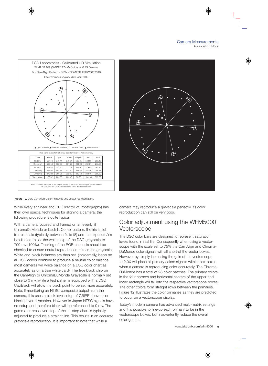

**Figure 12.** DSC CamAlign Color Primaries and vector representation.

While every engineer and DP (Director of Photography) has their own special techniques for aligning a camera, the following procedure is quite typical.

With a camera focused and framed on an evenly lit ChromaDuMonde or back lit Combi pattern, the iris is set to mid-scale (typically between f4 to f8) and the exposure/iris is adjusted to set the white chip of the DSC grayscale to 700 mv (100%). Tracking of the RGB channels should be checked to ensure neutral reproduction across the grayscale. White and black balances are then set. (Incidentally, because all DSC colors combine to produce a neutral color balance, most cameras will white balance on a DSC color chart as accurately as on a true white card). The true black chip on the CamAlign or ChromaDuMonde Grayscale is normally set close to 0 mv, while a test patterns equipped with a DSC CaviBlack will allow the black point to be set more accurately. Note: If monitoring an NTSC composite output from the camera, this uses a black level setup of 7.5IRE above true black in North America. However in Japan NTSC signals have no setup and therefore black will be referenced to 0 mv. The gamma or crossover step of the 11 step chart is typically adjusted to produce a straight line. This results in an accurate grayscale reproduction. It is important to note that while a



camera may reproduce a grayscale perfectly, its color reproduction can still be very poor.

#### Color adjustment using the WFM5000 **Vectorscope**

The DSC color bars are designed to represent saturation levels found in real life. Consequently when using a vectorscope with the scale set to 75% the CamAlign and Chroma-DuMonde color signals will fall short of the vector boxes. However by simply increasing the gain of the vectorscope to 2.0X will place all primary colors signals within their boxes when a camera is reproducing color accurately. The Chroma-DuMonde has a total of 28 color patches. The primary colors in the four corners and horizontal centers of the upper and lower rectangle will fall into the respective vectorscope boxes. The other colors form straight rows between the primaries. Figure 12 illustrates the color primaries as they are predicted to occur on a vectorscope display.

Today's modern camera has advanced multi-matrix settings and it is possible to line-up each primary to be in the vectorscope boxes, but inadvertently reduce the overall color gamut.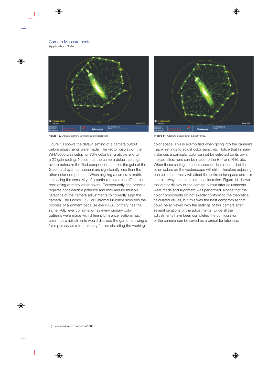

**Figure 13.** Default camera settings before alignment. **Figure 14.** Camera output after adjustments.

Figure 13 shows the default setting of a camera output before adjustments were made. The vector display on the WFM5000 was setup for 75% color bar graticule and to a 2X gain setting. Notice that the camera default settings over emphasize the Red component and that the gain of the Green and cyan component are significantly less than the other color components. When aligning a camera's matrix, increasing the sensitivity of a particular color can affect the positioning of many other colors. Consequently, the process requires considerable patience and may require multiple iterations of the camera adjustments to correctly align the camera. The Combi DX-1 or ChromaDuMonde simplifies the process of alignment because every DSC primary has the same RGB level combination as every primary color. If patterns were made with different luminance relationships, color matrix adjustments would displace the gamut showing a false primary as a true primary further distorting the working



color space. This is exemplified when going into the camera's matrix settings to adjust color sensitivity. Notice that in many instances a particular color cannot be selected on its own. Instead alterations can be made to the B-Y and R-B, etc. When these settings are increased or decreased, all of the other colors on the vectorscope will shift. Therefore adjusting one color incorrectly will affect the entire color space and this should always be taken into consideration. Figure 14 shows the vector display of the camera output after adjustments were made and alignment was performed. Notice that the color components do not exactly conform to the theoretical calculated values, but this was the best compromise that could be achieved with the settings of this camera after several iterations of the adjustments. Once all the adjustments have been completed the configuration of the camera can be saved as a preset for later use.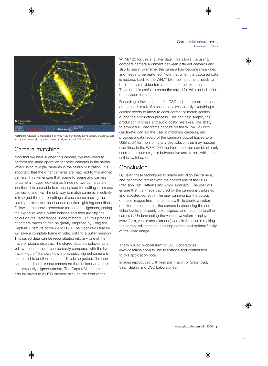

**Figure 15.** CaptureVu capabilities of WFM7120 comparing a live camera output (Green trace) and previously captured correctly aligned signal (Yellow trace).

# Camera matching

Now that we have aligned this camera, we may need to perform the same operation for other cameras in the studio. When using multiple cameras in the studio or location, it is important that the other cameras are matched to this aligned camera. This will ensure that scene to scene and camera to camera images look similar. Since no two cameras are identical, it is unreliable to simply upload the settings from one camera to another. The only way to match cameras effectively is to adjust the matrix settings of each camera using the same precision test chart under identical lightning conditions. Following the above procedure for camera alignment, setting the exposure levels, white balance and then aligning the colors on the vectorscope is one method. But, this process of camera matching can be greatly simplified by using the CaptureVu feature of the WFM7120. The CaptureVu feature will save a complete frame of video data to a buffer memory. This saved data can be reconstituted into any one of the trace or picture displays. The stored data is displayed as a yellow trace so that it can be easily compared with the live trace. Figure 15 shows how a previously aligned camera is compared to another camera still to be adjusted. The user can then adjust this next camera so that it closely matches the previously aligned camera. The CaptureVu data can also be saved to a USB memory stick on the front of the

WFM7120 for use at a later date. This allows the user to compare camera alignment between different cameras and also to see if, over time, the camera has become misaligned and needs to be realigned. Note that when the captured data is restored back to the WFM7120, the instrument needs to be in the same video format as the current video input. Therefore it is useful to name the saved file with an indication of the video format.

Recording a few seconds of a DSC test pattern on-the-set, at the head or tail of a scene captures virtually everything a colorist needs to know to color correct or match scenes during the production process. This can help simplify the production process and avoid costly mistakes. The ability to save a full video frame capture on the WFM7120 with CaptureVu can aid the user in matching cameras, and provides a data record of the camera's output (saved to a USB stick) for monitoring any degradation that may happen over time. In the WFM5000 the freeze function can be similarly used to compare signals between live and frozen, while the unit is switched on.

### **Conclusion**

By using these techniques to shade and align the camera, and becoming familiar with the correct use of the DSC Precision Test Patterns and Ambi Illuminator. The user will ensure that the image captured by the camera is calibrated and adjusted correctly. The user can monitor the output of these images from the camera with Tektronix waveform monitors to ensure that the camera is producing the correct video levels, is properly color aligned, and matched to other cameras. Understanding the various waveform displays (waveform, vector and diamond) can aid the user in making the correct adjustments, ensuring correct and optimal fidelity of the video image.

Thank you to Michael Kent of DSC Laboratories (www.dsclabs.com) for his assistance and contribution to this application note.

Images reproduced with kind permission of Greg Foad, Sean Sealey and DSC Laboratories.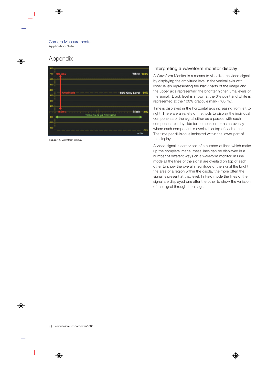### Appendix

|           | White 100%                                                         |
|-----------|--------------------------------------------------------------------|
|           |                                                                    |
| Ampiitude | 50% Grey Level - 50%                                               |
|           |                                                                    |
|           | <b>Black</b><br>-9%<br>0.0mp.composedence-deceptedation-protective |
|           | Time ns or us / Division                                           |
| 300       | -says<br><b>IR/Div</b>                                             |

**Figure 1a.** Waveform display.

#### Interpreting a waveform monitor display

A Waveform Monitor is a means to visualize the video signal by displaying the amplitude level in the vertical axis with lower levels representing the black parts of the image and the upper axis representing the brighter higher luma levels of the signal. Black level is shown at the 0% point and white is represented at the 100% graticule mark (700 mv).

Time is displayed in the horizontal axis increasing from left to right. There are a variety of methods to display the individual components of the signal either as a parade with each component side by side for comparison or as an overlay where each component is overlaid on top of each other. The time per division is indicated within the lower part of the display.

A video signal is comprised of a number of lines which make up the complete image; these lines can be displayed in a number of different ways on a waveform monitor. In Line mode all the lines of the signal are overlaid on top of each other to show the overall magnitude of the signal the bright the area of a region within the display the more often the signal is present at that level. In Field mode the lines of the signal are displayed one after the other to show the variation of the signal through the image.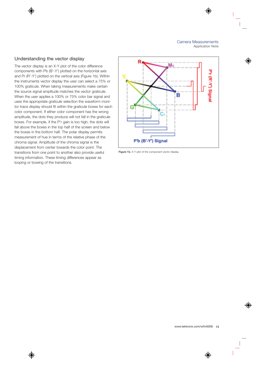#### Understanding the vector display

The vector display is an X-Y plot of the color difference components with Pb (B'-Y') plotted on the horizontal axis and Pr (R'-Y') plotted on the vertical axis (Figure 1b). Within the instruments vector display the user can select a 75% or 100% graticule. When taking measurements make certain the source signal amplitude matches the vector graticule. When the user applies a 100% or 75% color bar signal and uses the appropriate graticule selection the waveform monitor trace display should fit within the graticule boxes for each color component. If either color component has the wrong amplitude, the dots they produce will not fall in the graticule boxes. For example, if the P'r gain is too high, the dots will fall above the boxes in the top half of the screen and below the boxes in the bottom half. The polar display permits measurement of hue in terms of the relative phase of the chroma signal. Amplitude of the chroma signal is the displacement from center towards the color point. The transitions from one point to another also provide useful timing information. These timing differences appear as looping or bowing of the transitions.



Figure 1b. X-Y plot of the component vector display.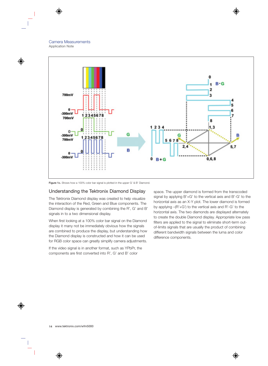

Figure 1c. Shows how a 100% color bar signal is plotted in the upper G' & B' Diamond.

#### Understanding the Tektronix Diamond Display

The Tektronix Diamond display was created to help visualize the interaction of the Red, Green and Blue components. The Diamond display is generated by combining the R', G' and B' signals in to a two dimensional display.

When first looking at a 100% color bar signal on the Diamond display it many not be immediately obvious how the signals are combined to produce the display, but understanding how the Diamond display is constructed and how it can be used for RGB color space can greatly simplify camera adjustments.

If the video signal is in another format, such as YPbPr, the components are first converted into R', G' and B' color

space. The upper diamond is formed from the transcoded signal by applying B'+G' to the vertical axis and B'-G' to the horizontal axis as an X-Y plot. The lower diamond is formed by applying –(R'+G') to the vertical axis and R'-G' to the horizontal axis. The two diamonds are displayed alternately to create the double Diamond display. Appropriate low pass filters are applied to the signal to eliminate short-term outof-limits signals that are usually the product of combining different bandwidth signals between the luma and color difference components.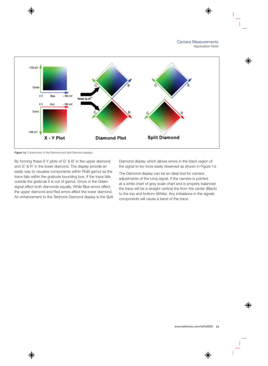

Figure 1d. Construction of the Diamond and Split Diamond displays.

By forming these X-Y plots of G' & B' in the upper diamond and G' & R' in the lower diamond. The display provide an easily way to visualize components within RGB gamut as the trace falls within the graticule bounding box. If the trace falls outside the graticule it is out of gamut. Errors in the Green signal affect both diamonds equally. While Blue errors affect the upper diamond and Red errors affect the lower diamond. An enhancement to the Tektronix Diamond display is the Split Diamond display which allows errors in the black region of the signal to be more easily observed as shown in Figure 1d.

The Diamond display can be an ideal tool for camera adjustments of the luma signal. If the camera is pointed at a white chart of gray scale chart and is properly balanced the trace will be a straight vertical line from the center (Black) to the top and bottom (White). Any imbalance in the signals components will cause a bend of the trace.